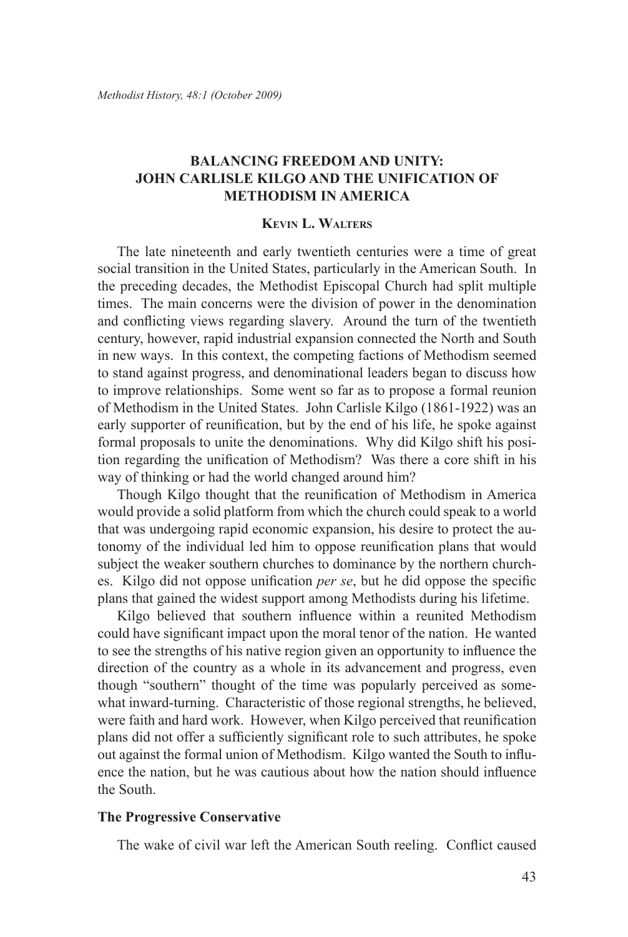# **Balancing Freedom and Unity: John Carlisle Kilgo and the Unification of Methodism in America**

## **Kevin L. Walters**

The late nineteenth and early twentieth centuries were a time of great social transition in the United States, particularly in the American South. In the preceding decades, the Methodist Episcopal Church had split multiple times. The main concerns were the division of power in the denomination and conflicting views regarding slavery. Around the turn of the twentieth century, however, rapid industrial expansion connected the North and South in new ways. In this context, the competing factions of Methodism seemed to stand against progress, and denominational leaders began to discuss how to improve relationships. Some went so far as to propose a formal reunion of Methodism in the United States. John Carlisle Kilgo (1861-1922) was an early supporter of reunification, but by the end of his life, he spoke against formal proposals to unite the denominations. Why did Kilgo shift his position regarding the unification of Methodism? Was there a core shift in his way of thinking or had the world changed around him?

Though Kilgo thought that the reunification of Methodism in America would provide a solid platform from which the church could speak to a world that was undergoing rapid economic expansion, his desire to protect the autonomy of the individual led him to oppose reunification plans that would subject the weaker southern churches to dominance by the northern churches. Kilgo did not oppose unification *per se*, but he did oppose the specific plans that gained the widest support among Methodists during his lifetime.

Kilgo believed that southern influence within a reunited Methodism could have significant impact upon the moral tenor of the nation. He wanted to see the strengths of his native region given an opportunity to influence the direction of the country as a whole in its advancement and progress, even though "southern" thought of the time was popularly perceived as somewhat inward-turning. Characteristic of those regional strengths, he believed, were faith and hard work. However, when Kilgo perceived that reunification plans did not offer a sufficiently significant role to such attributes, he spoke out against the formal union of Methodism. Kilgo wanted the South to influence the nation, but he was cautious about how the nation should influence the South.

### **The Progressive Conservative**

The wake of civil war left the American South reeling. Conflict caused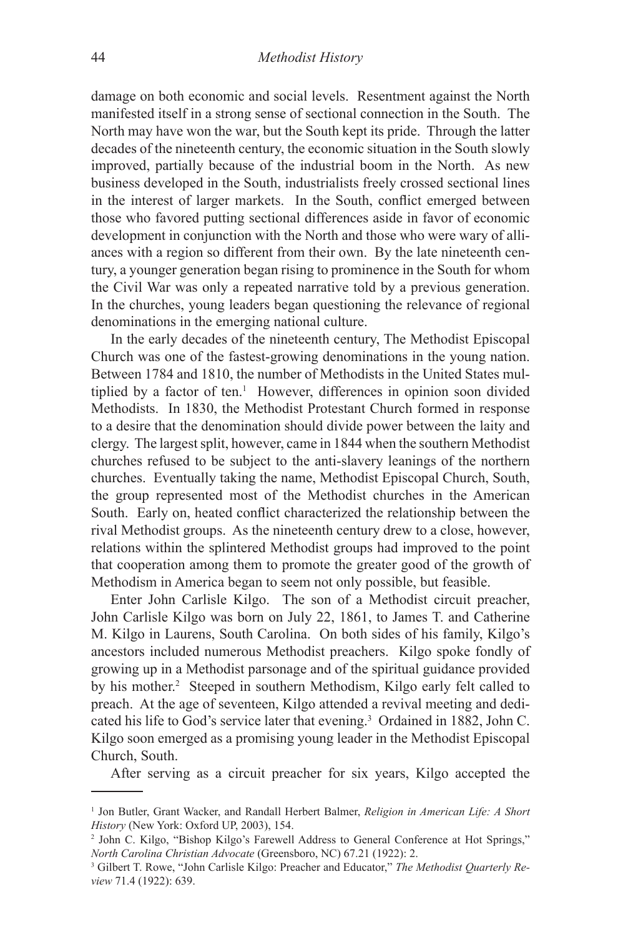damage on both economic and social levels. Resentment against the North manifested itself in a strong sense of sectional connection in the South. The North may have won the war, but the South kept its pride. Through the latter decades of the nineteenth century, the economic situation in the South slowly improved, partially because of the industrial boom in the North. As new business developed in the South, industrialists freely crossed sectional lines in the interest of larger markets. In the South, conflict emerged between those who favored putting sectional differences aside in favor of economic development in conjunction with the North and those who were wary of alliances with a region so different from their own. By the late nineteenth century, a younger generation began rising to prominence in the South for whom the Civil War was only a repeated narrative told by a previous generation. In the churches, young leaders began questioning the relevance of regional denominations in the emerging national culture.

In the early decades of the nineteenth century, The Methodist Episcopal Church was one of the fastest-growing denominations in the young nation. Between 1784 and 1810, the number of Methodists in the United States multiplied by a factor of ten.<sup>1</sup> However, differences in opinion soon divided Methodists. In 1830, the Methodist Protestant Church formed in response to a desire that the denomination should divide power between the laity and clergy. The largest split, however, came in 1844 when the southern Methodist churches refused to be subject to the anti-slavery leanings of the northern churches. Eventually taking the name, Methodist Episcopal Church, South, the group represented most of the Methodist churches in the American South. Early on, heated conflict characterized the relationship between the rival Methodist groups. As the nineteenth century drew to a close, however, relations within the splintered Methodist groups had improved to the point that cooperation among them to promote the greater good of the growth of Methodism in America began to seem not only possible, but feasible.

Enter John Carlisle Kilgo. The son of a Methodist circuit preacher, John Carlisle Kilgo was born on July 22, 1861, to James T. and Catherine M. Kilgo in Laurens, South Carolina. On both sides of his family, Kilgo's ancestors included numerous Methodist preachers. Kilgo spoke fondly of growing up in a Methodist parsonage and of the spiritual guidance provided by his mother.<sup>2</sup> Steeped in southern Methodism, Kilgo early felt called to preach. At the age of seventeen, Kilgo attended a revival meeting and dedicated his life to God's service later that evening.3 Ordained in 1882, John C. Kilgo soon emerged as a promising young leader in the Methodist Episcopal Church, South.

After serving as a circuit preacher for six years, Kilgo accepted the

<sup>1</sup> Jon Butler, Grant Wacker, and Randall Herbert Balmer, *Religion in American Life: A Short History* (New York: Oxford UP, 2003), 154.

<sup>2</sup> John C. Kilgo, "Bishop Kilgo's Farewell Address to General Conference at Hot Springs," *North Carolina Christian Advocate* (Greensboro, NC) 67.21 (1922): 2.

<sup>3</sup> Gilbert T. Rowe, "John Carlisle Kilgo: Preacher and Educator," *The Methodist Quarterly Review* 71.4 (1922): 639.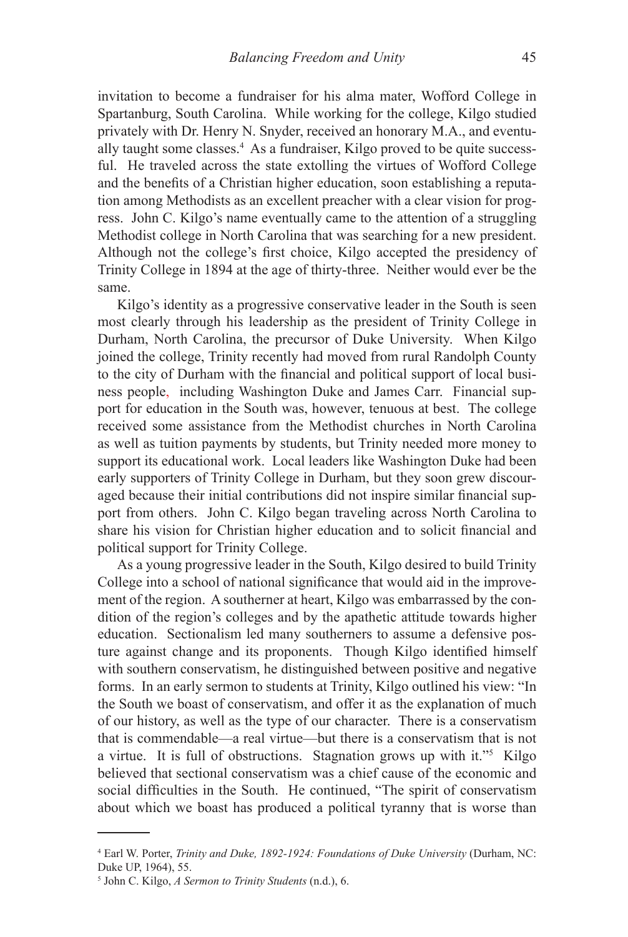invitation to become a fundraiser for his alma mater, Wofford College in Spartanburg, South Carolina. While working for the college, Kilgo studied privately with Dr. Henry N. Snyder, received an honorary M.A., and eventually taught some classes.<sup>4</sup> As a fundraiser, Kilgo proved to be quite successful. He traveled across the state extolling the virtues of Wofford College and the benefits of a Christian higher education, soon establishing a reputation among Methodists as an excellent preacher with a clear vision for progress. John C. Kilgo's name eventually came to the attention of a struggling Methodist college in North Carolina that was searching for a new president. Although not the college's first choice, Kilgo accepted the presidency of Trinity College in 1894 at the age of thirty-three. Neither would ever be the same.

Kilgo's identity as a progressive conservative leader in the South is seen most clearly through his leadership as the president of Trinity College in Durham, North Carolina, the precursor of Duke University. When Kilgo joined the college, Trinity recently had moved from rural Randolph County to the city of Durham with the financial and political support of local business people, including Washington Duke and James Carr. Financial support for education in the South was, however, tenuous at best. The college received some assistance from the Methodist churches in North Carolina as well as tuition payments by students, but Trinity needed more money to support its educational work. Local leaders like Washington Duke had been early supporters of Trinity College in Durham, but they soon grew discouraged because their initial contributions did not inspire similar financial support from others. John C. Kilgo began traveling across North Carolina to share his vision for Christian higher education and to solicit financial and political support for Trinity College.

As a young progressive leader in the South, Kilgo desired to build Trinity College into a school of national significance that would aid in the improvement of the region. A southerner at heart, Kilgo was embarrassed by the condition of the region's colleges and by the apathetic attitude towards higher education. Sectionalism led many southerners to assume a defensive posture against change and its proponents. Though Kilgo identified himself with southern conservatism, he distinguished between positive and negative forms. In an early sermon to students at Trinity, Kilgo outlined his view: "In the South we boast of conservatism, and offer it as the explanation of much of our history, as well as the type of our character. There is a conservatism that is commendable—a real virtue—but there is a conservatism that is not a virtue. It is full of obstructions. Stagnation grows up with it."<sup>5</sup> Kilgo believed that sectional conservatism was a chief cause of the economic and social difficulties in the South. He continued, "The spirit of conservatism about which we boast has produced a political tyranny that is worse than

<sup>4</sup> Earl W. Porter, *Trinity and Duke, 1892-1924: Foundations of Duke University* (Durham, NC: Duke UP, 1964), 55.

<sup>5</sup> John C. Kilgo, *A Sermon to Trinity Students* (n.d.), 6.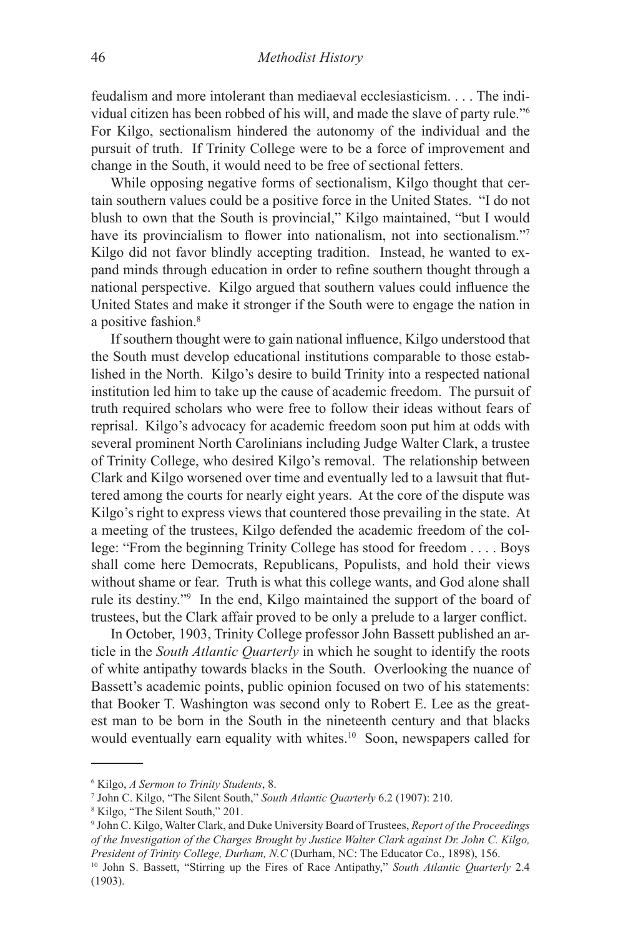feudalism and more intolerant than mediaeval ecclesiasticism. . . . The individual citizen has been robbed of his will, and made the slave of party rule."6 For Kilgo, sectionalism hindered the autonomy of the individual and the pursuit of truth. If Trinity College were to be a force of improvement and change in the South, it would need to be free of sectional fetters.

While opposing negative forms of sectionalism, Kilgo thought that certain southern values could be a positive force in the United States. "I do not blush to own that the South is provincial," Kilgo maintained, "but I would have its provincialism to flower into nationalism, not into sectionalism."<sup>7</sup> Kilgo did not favor blindly accepting tradition. Instead, he wanted to expand minds through education in order to refine southern thought through a national perspective. Kilgo argued that southern values could influence the United States and make it stronger if the South were to engage the nation in a positive fashion.<sup>8</sup>

If southern thought were to gain national influence, Kilgo understood that the South must develop educational institutions comparable to those established in the North. Kilgo's desire to build Trinity into a respected national institution led him to take up the cause of academic freedom. The pursuit of truth required scholars who were free to follow their ideas without fears of reprisal. Kilgo's advocacy for academic freedom soon put him at odds with several prominent North Carolinians including Judge Walter Clark, a trustee of Trinity College, who desired Kilgo's removal. The relationship between Clark and Kilgo worsened over time and eventually led to a lawsuit that fluttered among the courts for nearly eight years. At the core of the dispute was Kilgo's right to express views that countered those prevailing in the state. At a meeting of the trustees, Kilgo defended the academic freedom of the college: "From the beginning Trinity College has stood for freedom . . . . Boys shall come here Democrats, Republicans, Populists, and hold their views without shame or fear. Truth is what this college wants, and God alone shall rule its destiny."9 In the end, Kilgo maintained the support of the board of trustees, but the Clark affair proved to be only a prelude to a larger conflict.

In October, 1903, Trinity College professor John Bassett published an article in the *South Atlantic Quarterly* in which he sought to identify the roots of white antipathy towards blacks in the South. Overlooking the nuance of Bassett's academic points, public opinion focused on two of his statements: that Booker T. Washington was second only to Robert E. Lee as the greatest man to be born in the South in the nineteenth century and that blacks would eventually earn equality with whites.<sup>10</sup> Soon, newspapers called for

<sup>6</sup> Kilgo, *A Sermon to Trinity Students*, 8.

<sup>7</sup> John C. Kilgo, "The Silent South," *South Atlantic Quarterly* 6.2 (1907): 210.

<sup>8</sup> Kilgo, "The Silent South," 201.

<sup>9</sup> John C. Kilgo, Walter Clark, and Duke University Board of Trustees, *Report of the Proceedings of the Investigation of the Charges Brought by Justice Walter Clark against Dr. John C. Kilgo, President of Trinity College, Durham, N.C* (Durham, NC: The Educator Co., 1898), 156.

<sup>10</sup> John S. Bassett, "Stirring up the Fires of Race Antipathy," *South Atlantic Quarterly* 2.4 (1903).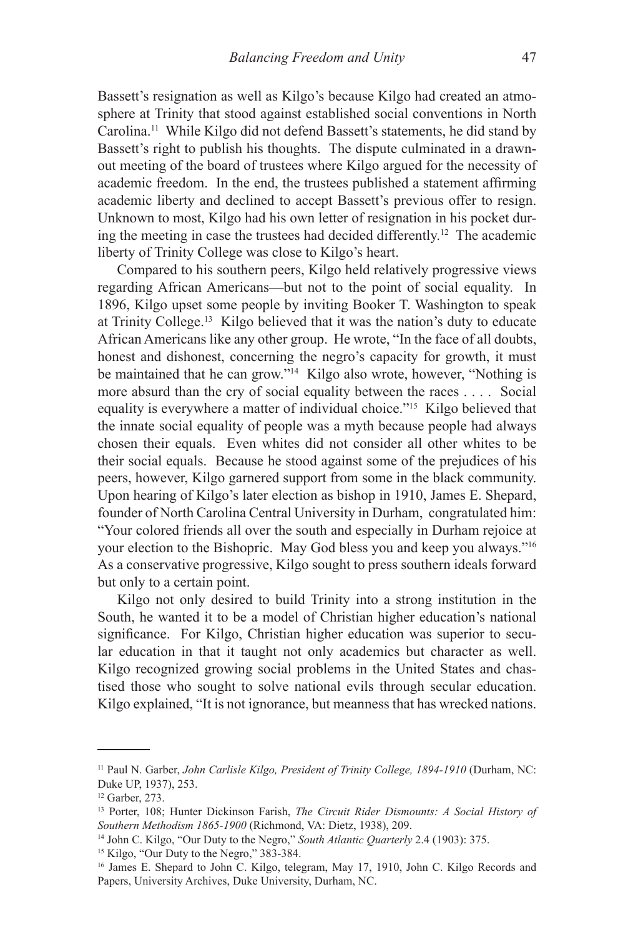Bassett's resignation as well as Kilgo's because Kilgo had created an atmosphere at Trinity that stood against established social conventions in North Carolina.11 While Kilgo did not defend Bassett's statements, he did stand by Bassett's right to publish his thoughts. The dispute culminated in a drawnout meeting of the board of trustees where Kilgo argued for the necessity of academic freedom. In the end, the trustees published a statement affirming academic liberty and declined to accept Bassett's previous offer to resign. Unknown to most, Kilgo had his own letter of resignation in his pocket during the meeting in case the trustees had decided differently.12 The academic liberty of Trinity College was close to Kilgo's heart.

Compared to his southern peers, Kilgo held relatively progressive views regarding African Americans—but not to the point of social equality. In 1896, Kilgo upset some people by inviting Booker T. Washington to speak at Trinity College.13 Kilgo believed that it was the nation's duty to educate African Americans like any other group. He wrote, "In the face of all doubts, honest and dishonest, concerning the negro's capacity for growth, it must be maintained that he can grow."14 Kilgo also wrote, however, "Nothing is more absurd than the cry of social equality between the races . . . . Social equality is everywhere a matter of individual choice."15 Kilgo believed that the innate social equality of people was a myth because people had always chosen their equals. Even whites did not consider all other whites to be their social equals. Because he stood against some of the prejudices of his peers, however, Kilgo garnered support from some in the black community. Upon hearing of Kilgo's later election as bishop in 1910, James E. Shepard, founder of North Carolina Central University in Durham, congratulated him: "Your colored friends all over the south and especially in Durham rejoice at your election to the Bishopric. May God bless you and keep you always."16 As a conservative progressive, Kilgo sought to press southern ideals forward but only to a certain point.

Kilgo not only desired to build Trinity into a strong institution in the South, he wanted it to be a model of Christian higher education's national significance. For Kilgo, Christian higher education was superior to secular education in that it taught not only academics but character as well. Kilgo recognized growing social problems in the United States and chastised those who sought to solve national evils through secular education. Kilgo explained, "It is not ignorance, but meanness that has wrecked nations.

<sup>11</sup> Paul N. Garber, *John Carlisle Kilgo, President of Trinity College, 1894-1910* (Durham, NC: Duke UP, 1937), 253.

<sup>12</sup> Garber, 273.

<sup>13</sup> Porter, 108; Hunter Dickinson Farish, *The Circuit Rider Dismounts: A Social History of Southern Methodism 1865-1900* (Richmond, VA: Dietz, 1938), 209.

<sup>14</sup> John C. Kilgo, "Our Duty to the Negro," *South Atlantic Quarterly* 2.4 (1903): 375.

<sup>&</sup>lt;sup>15</sup> Kilgo, "Our Duty to the Negro," 383-384.

<sup>16</sup> James E. Shepard to John C. Kilgo, telegram, May 17, 1910, John C. Kilgo Records and Papers, University Archives, Duke University, Durham, NC.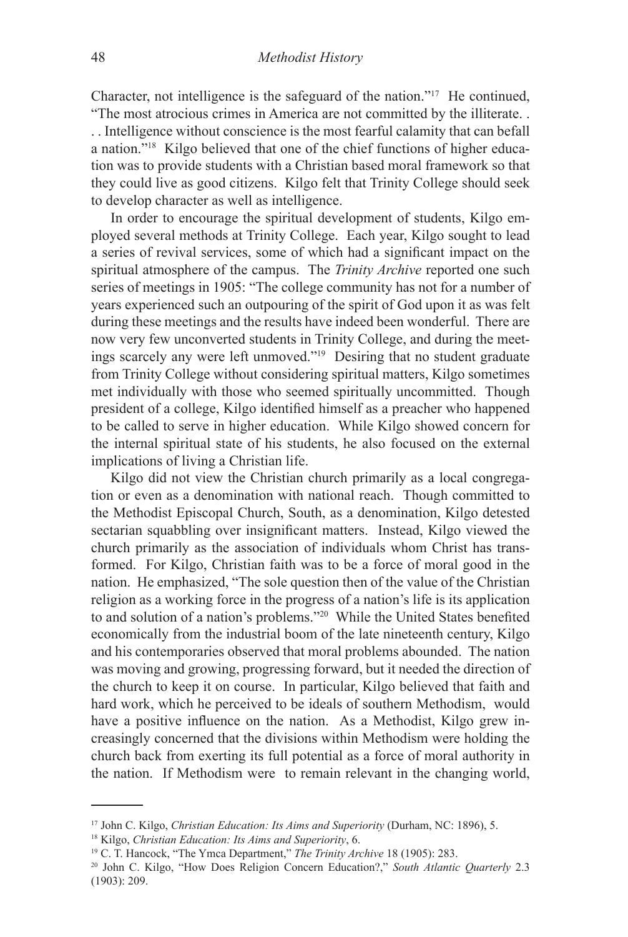Character, not intelligence is the safeguard of the nation."17 He continued, "The most atrocious crimes in America are not committed by the illiterate. .

. . Intelligence without conscience is the most fearful calamity that can befall a nation."18 Kilgo believed that one of the chief functions of higher education was to provide students with a Christian based moral framework so that they could live as good citizens. Kilgo felt that Trinity College should seek to develop character as well as intelligence.

In order to encourage the spiritual development of students, Kilgo employed several methods at Trinity College. Each year, Kilgo sought to lead a series of revival services, some of which had a significant impact on the spiritual atmosphere of the campus. The *Trinity Archive* reported one such series of meetings in 1905: "The college community has not for a number of years experienced such an outpouring of the spirit of God upon it as was felt during these meetings and the results have indeed been wonderful. There are now very few unconverted students in Trinity College, and during the meetings scarcely any were left unmoved."19 Desiring that no student graduate from Trinity College without considering spiritual matters, Kilgo sometimes met individually with those who seemed spiritually uncommitted. Though president of a college, Kilgo identified himself as a preacher who happened to be called to serve in higher education. While Kilgo showed concern for the internal spiritual state of his students, he also focused on the external implications of living a Christian life.

Kilgo did not view the Christian church primarily as a local congregation or even as a denomination with national reach. Though committed to the Methodist Episcopal Church, South, as a denomination, Kilgo detested sectarian squabbling over insignificant matters. Instead, Kilgo viewed the church primarily as the association of individuals whom Christ has transformed. For Kilgo, Christian faith was to be a force of moral good in the nation. He emphasized, "The sole question then of the value of the Christian religion as a working force in the progress of a nation's life is its application to and solution of a nation's problems."20 While the United States benefited economically from the industrial boom of the late nineteenth century, Kilgo and his contemporaries observed that moral problems abounded. The nation was moving and growing, progressing forward, but it needed the direction of the church to keep it on course. In particular, Kilgo believed that faith and hard work, which he perceived to be ideals of southern Methodism, would have a positive influence on the nation. As a Methodist, Kilgo grew increasingly concerned that the divisions within Methodism were holding the church back from exerting its full potential as a force of moral authority in the nation. If Methodism were to remain relevant in the changing world,

<sup>17</sup> John C. Kilgo, *Christian Education: Its Aims and Superiority* (Durham, NC: 1896), 5.

<sup>18</sup> Kilgo, *Christian Education: Its Aims and Superiority*, 6.

<sup>19</sup> C. T. Hancock, "The Ymca Department," *The Trinity Archive* 18 (1905): 283.

<sup>&</sup>lt;sup>20</sup> John C. Kilgo, "How Does Religion Concern Education?," *South Atlantic Quarterly* 2.3 (1903): 209.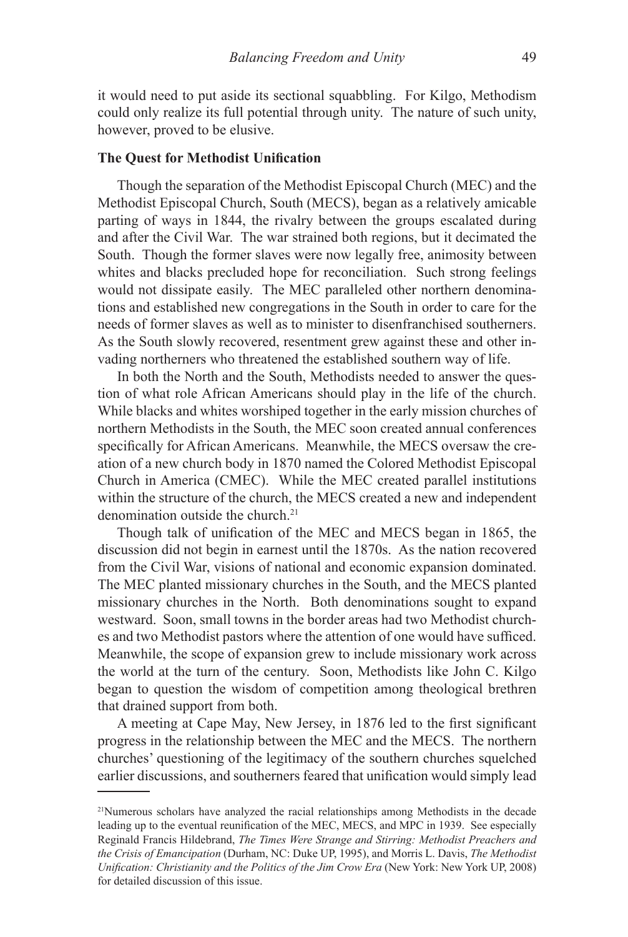it would need to put aside its sectional squabbling. For Kilgo, Methodism could only realize its full potential through unity. The nature of such unity, however, proved to be elusive.

#### **The Quest for Methodist Unification**

Though the separation of the Methodist Episcopal Church (MEC) and the Methodist Episcopal Church, South (MECS), began as a relatively amicable parting of ways in 1844, the rivalry between the groups escalated during and after the Civil War. The war strained both regions, but it decimated the South. Though the former slaves were now legally free, animosity between whites and blacks precluded hope for reconciliation. Such strong feelings would not dissipate easily. The MEC paralleled other northern denominations and established new congregations in the South in order to care for the needs of former slaves as well as to minister to disenfranchised southerners. As the South slowly recovered, resentment grew against these and other invading northerners who threatened the established southern way of life.

In both the North and the South, Methodists needed to answer the question of what role African Americans should play in the life of the church. While blacks and whites worshiped together in the early mission churches of northern Methodists in the South, the MEC soon created annual conferences specifically for African Americans. Meanwhile, the MECS oversaw the creation of a new church body in 1870 named the Colored Methodist Episcopal Church in America (CMEC). While the MEC created parallel institutions within the structure of the church, the MECS created a new and independent denomination outside the church.<sup>21</sup>

Though talk of unification of the MEC and MECS began in 1865, the discussion did not begin in earnest until the 1870s. As the nation recovered from the Civil War, visions of national and economic expansion dominated. The MEC planted missionary churches in the South, and the MECS planted missionary churches in the North. Both denominations sought to expand westward. Soon, small towns in the border areas had two Methodist churches and two Methodist pastors where the attention of one would have sufficed. Meanwhile, the scope of expansion grew to include missionary work across the world at the turn of the century. Soon, Methodists like John C. Kilgo began to question the wisdom of competition among theological brethren that drained support from both.

A meeting at Cape May, New Jersey, in 1876 led to the first significant progress in the relationship between the MEC and the MECS. The northern churches' questioning of the legitimacy of the southern churches squelched earlier discussions, and southerners feared that unification would simply lead

<sup>21</sup>Numerous scholars have analyzed the racial relationships among Methodists in the decade leading up to the eventual reunification of the MEC, MECS, and MPC in 1939. See especially Reginald Francis Hildebrand, *The Times Were Strange and Stirring: Methodist Preachers and the Crisis of Emancipation* (Durham, NC: Duke UP, 1995), and Morris L. Davis, *The Methodist Unification: Christianity and the Politics of the Jim Crow Era* (New York: New York UP, 2008) for detailed discussion of this issue.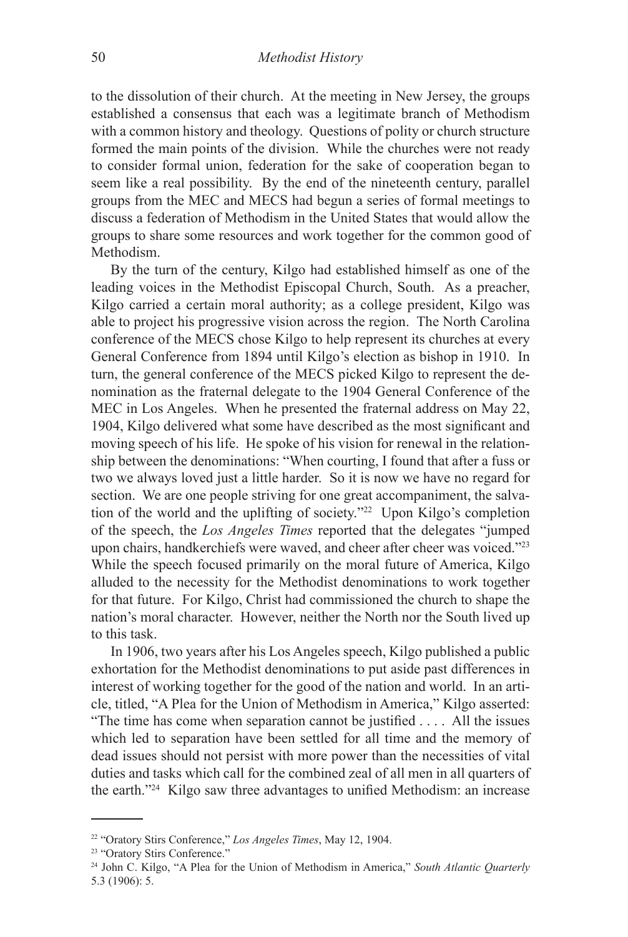to the dissolution of their church. At the meeting in New Jersey, the groups established a consensus that each was a legitimate branch of Methodism with a common history and theology. Questions of polity or church structure formed the main points of the division. While the churches were not ready to consider formal union, federation for the sake of cooperation began to seem like a real possibility. By the end of the nineteenth century, parallel groups from the MEC and MECS had begun a series of formal meetings to discuss a federation of Methodism in the United States that would allow the groups to share some resources and work together for the common good of Methodism.

By the turn of the century, Kilgo had established himself as one of the leading voices in the Methodist Episcopal Church, South. As a preacher, Kilgo carried a certain moral authority; as a college president, Kilgo was able to project his progressive vision across the region. The North Carolina conference of the MECS chose Kilgo to help represent its churches at every General Conference from 1894 until Kilgo's election as bishop in 1910. In turn, the general conference of the MECS picked Kilgo to represent the denomination as the fraternal delegate to the 1904 General Conference of the MEC in Los Angeles. When he presented the fraternal address on May 22, 1904, Kilgo delivered what some have described as the most significant and moving speech of his life. He spoke of his vision for renewal in the relationship between the denominations: "When courting, I found that after a fuss or two we always loved just a little harder. So it is now we have no regard for section. We are one people striving for one great accompaniment, the salvation of the world and the uplifting of society."22 Upon Kilgo's completion of the speech, the *Los Angeles Times* reported that the delegates "jumped upon chairs, handkerchiefs were waved, and cheer after cheer was voiced."<sup>23</sup> While the speech focused primarily on the moral future of America, Kilgo alluded to the necessity for the Methodist denominations to work together for that future. For Kilgo, Christ had commissioned the church to shape the nation's moral character. However, neither the North nor the South lived up to this task.

In 1906, two years after his Los Angeles speech, Kilgo published a public exhortation for the Methodist denominations to put aside past differences in interest of working together for the good of the nation and world. In an article, titled, "A Plea for the Union of Methodism in America," Kilgo asserted: "The time has come when separation cannot be justified . . . . All the issues which led to separation have been settled for all time and the memory of dead issues should not persist with more power than the necessities of vital duties and tasks which call for the combined zeal of all men in all quarters of the earth."24 Kilgo saw three advantages to unified Methodism: an increase

<sup>22 &</sup>quot;Oratory Stirs Conference," *Los Angeles Times*, May 12, 1904.

<sup>&</sup>lt;sup>23</sup> "Oratory Stirs Conference."

<sup>24</sup> John C. Kilgo, "A Plea for the Union of Methodism in America," *South Atlantic Quarterly* 5.3 (1906): 5.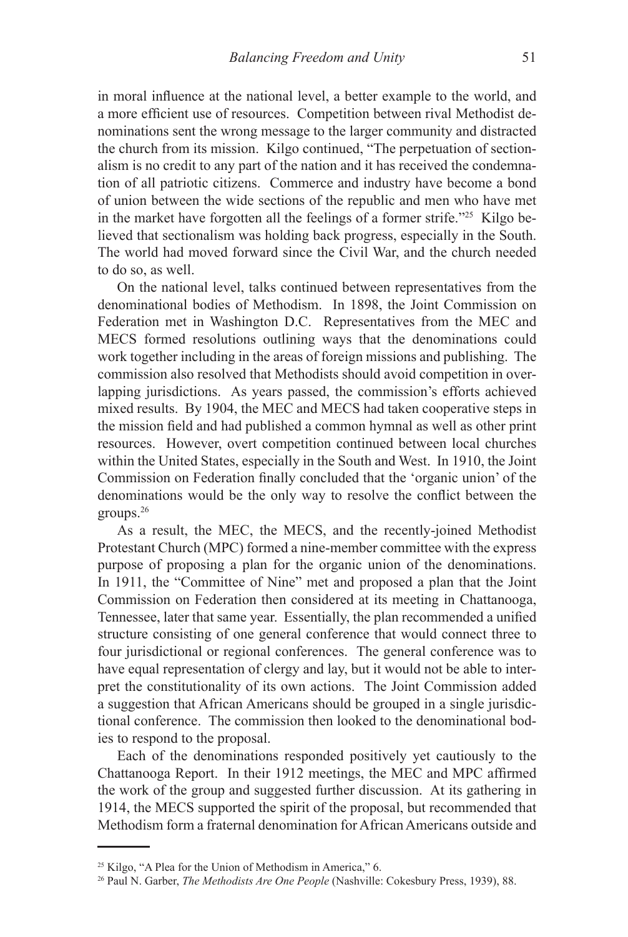in moral influence at the national level, a better example to the world, and a more efficient use of resources. Competition between rival Methodist denominations sent the wrong message to the larger community and distracted the church from its mission. Kilgo continued, "The perpetuation of sectionalism is no credit to any part of the nation and it has received the condemnation of all patriotic citizens. Commerce and industry have become a bond of union between the wide sections of the republic and men who have met in the market have forgotten all the feelings of a former strife."25 Kilgo believed that sectionalism was holding back progress, especially in the South. The world had moved forward since the Civil War, and the church needed to do so, as well.

On the national level, talks continued between representatives from the denominational bodies of Methodism. In 1898, the Joint Commission on Federation met in Washington D.C. Representatives from the MEC and MECS formed resolutions outlining ways that the denominations could work together including in the areas of foreign missions and publishing. The commission also resolved that Methodists should avoid competition in overlapping jurisdictions. As years passed, the commission's efforts achieved mixed results. By 1904, the MEC and MECS had taken cooperative steps in the mission field and had published a common hymnal as well as other print resources. However, overt competition continued between local churches within the United States, especially in the South and West. In 1910, the Joint Commission on Federation finally concluded that the 'organic union' of the denominations would be the only way to resolve the conflict between the groups.26

As a result, the MEC, the MECS, and the recently-joined Methodist Protestant Church (MPC) formed a nine-member committee with the express purpose of proposing a plan for the organic union of the denominations. In 1911, the "Committee of Nine" met and proposed a plan that the Joint Commission on Federation then considered at its meeting in Chattanooga, Tennessee, later that same year. Essentially, the plan recommended a unified structure consisting of one general conference that would connect three to four jurisdictional or regional conferences. The general conference was to have equal representation of clergy and lay, but it would not be able to interpret the constitutionality of its own actions. The Joint Commission added a suggestion that African Americans should be grouped in a single jurisdictional conference. The commission then looked to the denominational bodies to respond to the proposal.

Each of the denominations responded positively yet cautiously to the Chattanooga Report. In their 1912 meetings, the MEC and MPC affirmed the work of the group and suggested further discussion. At its gathering in 1914, the MECS supported the spirit of the proposal, but recommended that Methodism form a fraternal denomination for African Americans outside and

<sup>&</sup>lt;sup>25</sup> Kilgo, "A Plea for the Union of Methodism in America," 6.

<sup>26</sup> Paul N. Garber, *The Methodists Are One People* (Nashville: Cokesbury Press, 1939), 88.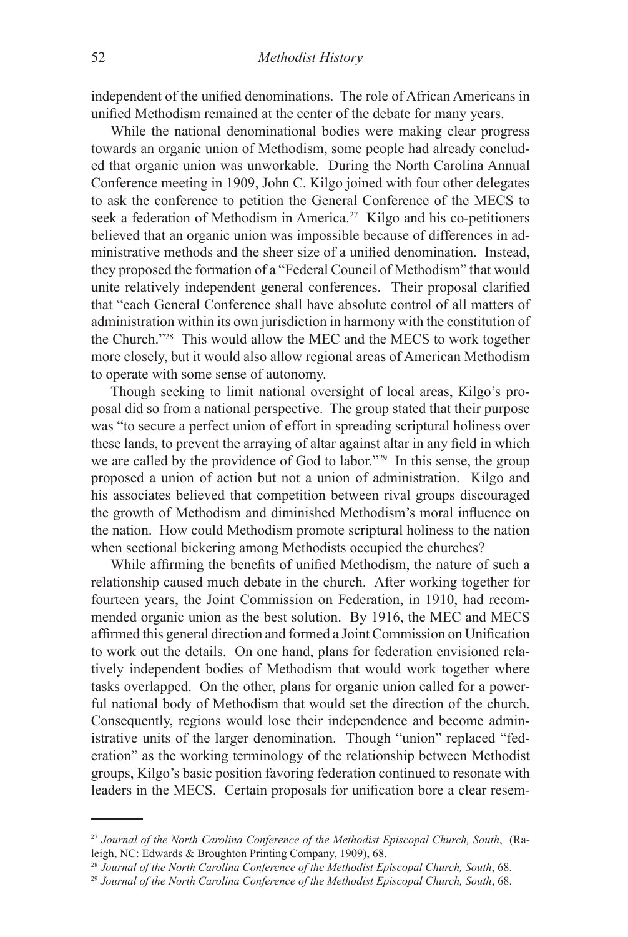independent of the unified denominations. The role of African Americans in unified Methodism remained at the center of the debate for many years.

While the national denominational bodies were making clear progress towards an organic union of Methodism, some people had already concluded that organic union was unworkable. During the North Carolina Annual Conference meeting in 1909, John C. Kilgo joined with four other delegates to ask the conference to petition the General Conference of the MECS to seek a federation of Methodism in America.<sup>27</sup> Kilgo and his co-petitioners believed that an organic union was impossible because of differences in administrative methods and the sheer size of a unified denomination. Instead, they proposed the formation of a "Federal Council of Methodism" that would unite relatively independent general conferences. Their proposal clarified that "each General Conference shall have absolute control of all matters of administration within its own jurisdiction in harmony with the constitution of the Church."28 This would allow the MEC and the MECS to work together more closely, but it would also allow regional areas of American Methodism to operate with some sense of autonomy.

Though seeking to limit national oversight of local areas, Kilgo's proposal did so from a national perspective. The group stated that their purpose was "to secure a perfect union of effort in spreading scriptural holiness over these lands, to prevent the arraying of altar against altar in any field in which we are called by the providence of God to labor."29 In this sense, the group proposed a union of action but not a union of administration. Kilgo and his associates believed that competition between rival groups discouraged the growth of Methodism and diminished Methodism's moral influence on the nation. How could Methodism promote scriptural holiness to the nation when sectional bickering among Methodists occupied the churches?

While affirming the benefits of unified Methodism, the nature of such a relationship caused much debate in the church. After working together for fourteen years, the Joint Commission on Federation, in 1910, had recommended organic union as the best solution. By 1916, the MEC and MECS affirmed this general direction and formed a Joint Commission on Unification to work out the details. On one hand, plans for federation envisioned relatively independent bodies of Methodism that would work together where tasks overlapped. On the other, plans for organic union called for a powerful national body of Methodism that would set the direction of the church. Consequently, regions would lose their independence and become administrative units of the larger denomination. Though "union" replaced "federation" as the working terminology of the relationship between Methodist groups, Kilgo's basic position favoring federation continued to resonate with leaders in the MECS. Certain proposals for unification bore a clear resem-

<sup>27</sup> *Journal of the North Carolina Conference of the Methodist Episcopal Church, South*, (Raleigh, NC: Edwards & Broughton Printing Company, 1909), 68.

<sup>28</sup> *Journal of the North Carolina Conference of the Methodist Episcopal Church, South*, 68.

<sup>29</sup> *Journal of the North Carolina Conference of the Methodist Episcopal Church, South*, 68.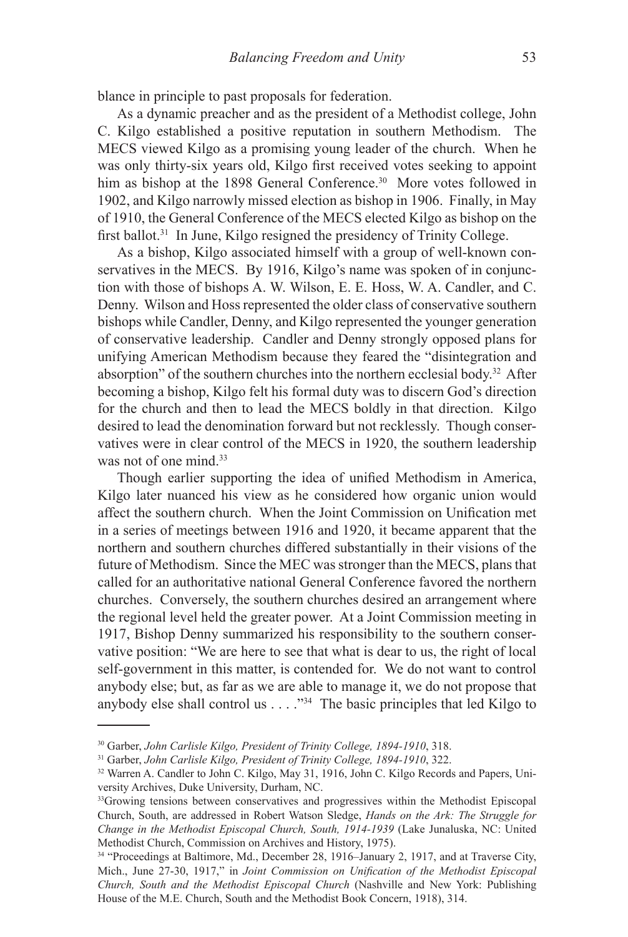blance in principle to past proposals for federation.

As a dynamic preacher and as the president of a Methodist college, John C. Kilgo established a positive reputation in southern Methodism. The MECS viewed Kilgo as a promising young leader of the church. When he was only thirty-six years old, Kilgo first received votes seeking to appoint him as bishop at the 1898 General Conference.<sup>30</sup> More votes followed in 1902, and Kilgo narrowly missed election as bishop in 1906. Finally, in May of 1910, the General Conference of the MECS elected Kilgo as bishop on the first ballot.<sup>31</sup> In June, Kilgo resigned the presidency of Trinity College.

As a bishop, Kilgo associated himself with a group of well-known conservatives in the MECS. By 1916, Kilgo's name was spoken of in conjunction with those of bishops A. W. Wilson, E. E. Hoss, W. A. Candler, and C. Denny. Wilson and Hoss represented the older class of conservative southern bishops while Candler, Denny, and Kilgo represented the younger generation of conservative leadership. Candler and Denny strongly opposed plans for unifying American Methodism because they feared the "disintegration and absorption" of the southern churches into the northern ecclesial body.32 After becoming a bishop, Kilgo felt his formal duty was to discern God's direction for the church and then to lead the MECS boldly in that direction. Kilgo desired to lead the denomination forward but not recklessly. Though conservatives were in clear control of the MECS in 1920, the southern leadership was not of one mind.<sup>33</sup>

Though earlier supporting the idea of unified Methodism in America, Kilgo later nuanced his view as he considered how organic union would affect the southern church. When the Joint Commission on Unification met in a series of meetings between 1916 and 1920, it became apparent that the northern and southern churches differed substantially in their visions of the future of Methodism. Since the MEC was stronger than the MECS, plans that called for an authoritative national General Conference favored the northern churches. Conversely, the southern churches desired an arrangement where the regional level held the greater power. At a Joint Commission meeting in 1917, Bishop Denny summarized his responsibility to the southern conservative position: "We are here to see that what is dear to us, the right of local self-government in this matter, is contended for. We do not want to control anybody else; but, as far as we are able to manage it, we do not propose that anybody else shall control us . . . ."34 The basic principles that led Kilgo to

<sup>30</sup> Garber, *John Carlisle Kilgo, President of Trinity College, 1894-1910*, 318.

<sup>31</sup> Garber, *John Carlisle Kilgo, President of Trinity College, 1894-1910*, 322.

<sup>&</sup>lt;sup>32</sup> Warren A. Candler to John C. Kilgo, May 31, 1916, John C. Kilgo Records and Papers, University Archives, Duke University, Durham, NC.

<sup>&</sup>lt;sup>33</sup>Growing tensions between conservatives and progressives within the Methodist Episcopal Church, South, are addressed in Robert Watson Sledge, *Hands on the Ark: The Struggle for Change in the Methodist Episcopal Church, South, 1914-1939* (Lake Junaluska, NC: United Methodist Church, Commission on Archives and History, 1975).

<sup>34 &</sup>quot;Proceedings at Baltimore, Md., December 28, 1916–January 2, 1917, and at Traverse City, Mich., June 27-30, 1917," in *Joint Commission on Unification of the Methodist Episcopal Church, South and the Methodist Episcopal Church* (Nashville and New York: Publishing House of the M.E. Church, South and the Methodist Book Concern, 1918), 314.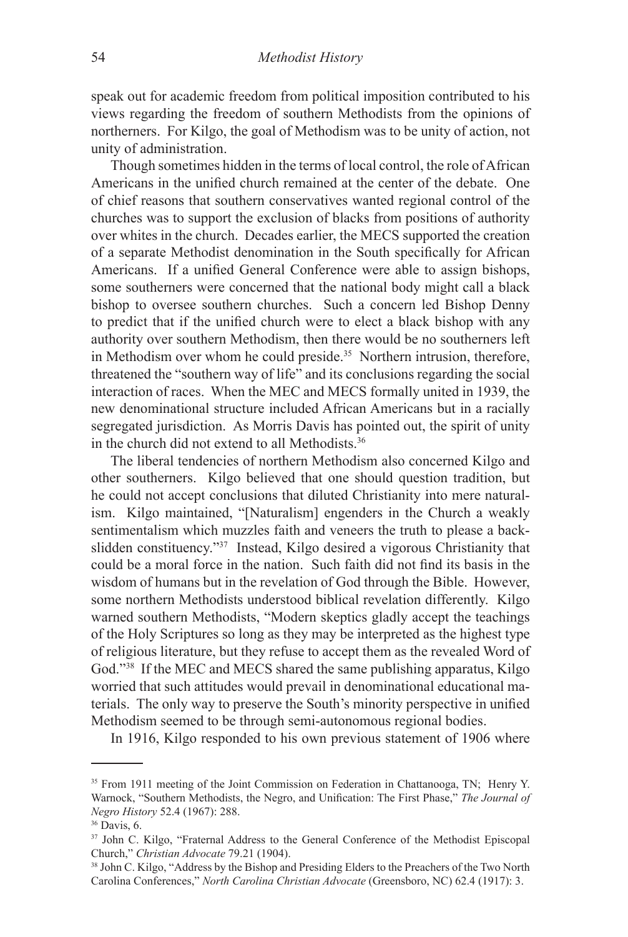speak out for academic freedom from political imposition contributed to his views regarding the freedom of southern Methodists from the opinions of northerners. For Kilgo, the goal of Methodism was to be unity of action, not unity of administration.

Though sometimes hidden in the terms of local control, the role of African Americans in the unified church remained at the center of the debate. One of chief reasons that southern conservatives wanted regional control of the churches was to support the exclusion of blacks from positions of authority over whites in the church. Decades earlier, the MECS supported the creation of a separate Methodist denomination in the South specifically for African Americans. If a unified General Conference were able to assign bishops, some southerners were concerned that the national body might call a black bishop to oversee southern churches. Such a concern led Bishop Denny to predict that if the unified church were to elect a black bishop with any authority over southern Methodism, then there would be no southerners left in Methodism over whom he could preside.<sup>35</sup> Northern intrusion, therefore, threatened the "southern way of life" and its conclusions regarding the social interaction of races. When the MEC and MECS formally united in 1939, the new denominational structure included African Americans but in a racially segregated jurisdiction. As Morris Davis has pointed out, the spirit of unity in the church did not extend to all Methodists.36

The liberal tendencies of northern Methodism also concerned Kilgo and other southerners. Kilgo believed that one should question tradition, but he could not accept conclusions that diluted Christianity into mere naturalism. Kilgo maintained, "[Naturalism] engenders in the Church a weakly sentimentalism which muzzles faith and veneers the truth to please a backslidden constituency."37 Instead, Kilgo desired a vigorous Christianity that could be a moral force in the nation. Such faith did not find its basis in the wisdom of humans but in the revelation of God through the Bible. However, some northern Methodists understood biblical revelation differently. Kilgo warned southern Methodists, "Modern skeptics gladly accept the teachings of the Holy Scriptures so long as they may be interpreted as the highest type of religious literature, but they refuse to accept them as the revealed Word of God."38 If the MEC and MECS shared the same publishing apparatus, Kilgo worried that such attitudes would prevail in denominational educational materials. The only way to preserve the South's minority perspective in unified Methodism seemed to be through semi-autonomous regional bodies.

In 1916, Kilgo responded to his own previous statement of 1906 where

<sup>&</sup>lt;sup>35</sup> From 1911 meeting of the Joint Commission on Federation in Chattanooga, TN; Henry Y. Warnock, "Southern Methodists, the Negro, and Unification: The First Phase," *The Journal of Negro History* 52.4 (1967): 288.

<sup>36</sup> Davis, 6.

<sup>&</sup>lt;sup>37</sup> John C. Kilgo, "Fraternal Address to the General Conference of the Methodist Episcopal Church," *Christian Advocate* 79.21 (1904).

<sup>38</sup> John C. Kilgo, "Address by the Bishop and Presiding Elders to the Preachers of the Two North Carolina Conferences," *North Carolina Christian Advocate* (Greensboro, NC) 62.4 (1917): 3.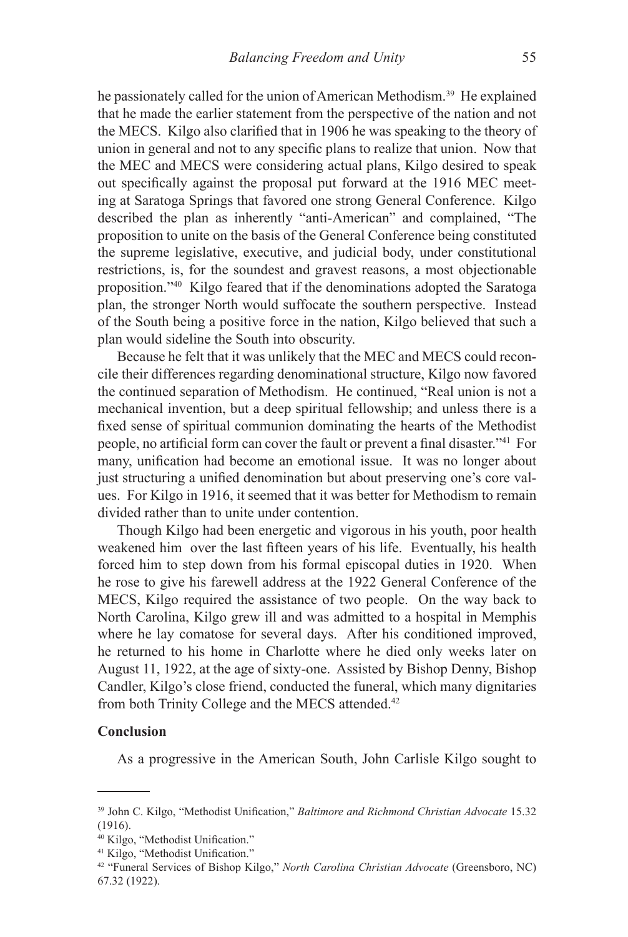he passionately called for the union of American Methodism.<sup>39</sup> He explained that he made the earlier statement from the perspective of the nation and not the MECS. Kilgo also clarified that in 1906 he was speaking to the theory of union in general and not to any specific plans to realize that union. Now that the MEC and MECS were considering actual plans, Kilgo desired to speak out specifically against the proposal put forward at the 1916 MEC meeting at Saratoga Springs that favored one strong General Conference. Kilgo described the plan as inherently "anti-American" and complained, "The proposition to unite on the basis of the General Conference being constituted the supreme legislative, executive, and judicial body, under constitutional restrictions, is, for the soundest and gravest reasons, a most objectionable proposition."40 Kilgo feared that if the denominations adopted the Saratoga plan, the stronger North would suffocate the southern perspective. Instead of the South being a positive force in the nation, Kilgo believed that such a plan would sideline the South into obscurity.

Because he felt that it was unlikely that the MEC and MECS could reconcile their differences regarding denominational structure, Kilgo now favored the continued separation of Methodism. He continued, "Real union is not a mechanical invention, but a deep spiritual fellowship; and unless there is a fixed sense of spiritual communion dominating the hearts of the Methodist people, no artificial form can cover the fault or prevent a final disaster."41 For many, unification had become an emotional issue. It was no longer about just structuring a unified denomination but about preserving one's core values. For Kilgo in 1916, it seemed that it was better for Methodism to remain divided rather than to unite under contention.

Though Kilgo had been energetic and vigorous in his youth, poor health weakened him over the last fifteen years of his life. Eventually, his health forced him to step down from his formal episcopal duties in 1920. When he rose to give his farewell address at the 1922 General Conference of the MECS, Kilgo required the assistance of two people. On the way back to North Carolina, Kilgo grew ill and was admitted to a hospital in Memphis where he lay comatose for several days. After his conditioned improved, he returned to his home in Charlotte where he died only weeks later on August 11, 1922, at the age of sixty-one. Assisted by Bishop Denny, Bishop Candler, Kilgo's close friend, conducted the funeral, which many dignitaries from both Trinity College and the MECS attended.<sup>42</sup>

#### **Conclusion**

As a progressive in the American South, John Carlisle Kilgo sought to

<sup>39</sup> John C. Kilgo, "Methodist Unification," *Baltimore and Richmond Christian Advocate* 15.32 (1916).

<sup>40</sup> Kilgo, "Methodist Unification."

<sup>41</sup> Kilgo, "Methodist Unification."

<sup>42 &</sup>quot;Funeral Services of Bishop Kilgo," *North Carolina Christian Advocate* (Greensboro, NC) 67.32 (1922).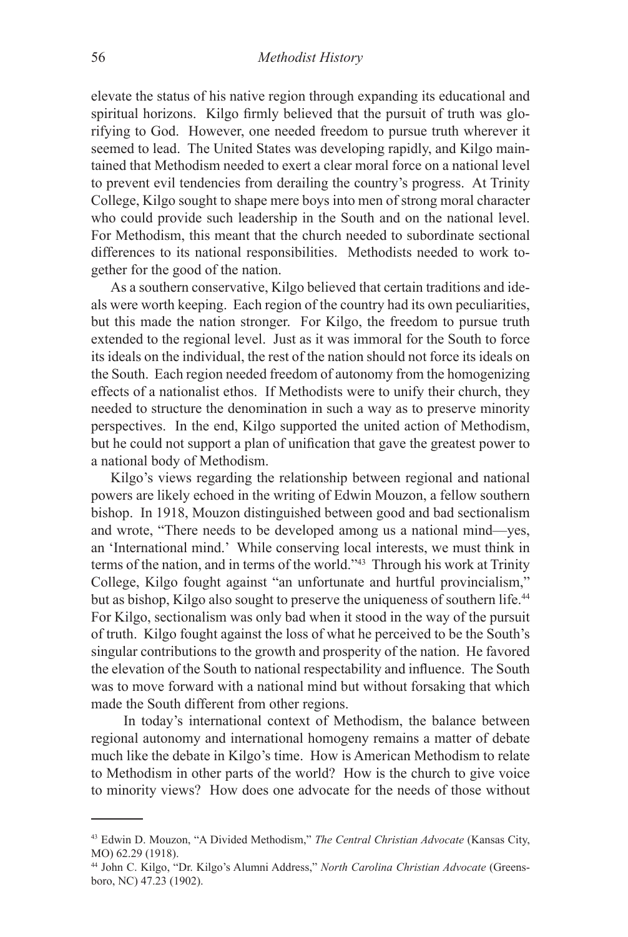elevate the status of his native region through expanding its educational and spiritual horizons. Kilgo firmly believed that the pursuit of truth was glorifying to God. However, one needed freedom to pursue truth wherever it seemed to lead. The United States was developing rapidly, and Kilgo maintained that Methodism needed to exert a clear moral force on a national level to prevent evil tendencies from derailing the country's progress. At Trinity College, Kilgo sought to shape mere boys into men of strong moral character who could provide such leadership in the South and on the national level. For Methodism, this meant that the church needed to subordinate sectional differences to its national responsibilities. Methodists needed to work together for the good of the nation.

As a southern conservative, Kilgo believed that certain traditions and ideals were worth keeping. Each region of the country had its own peculiarities, but this made the nation stronger. For Kilgo, the freedom to pursue truth extended to the regional level. Just as it was immoral for the South to force its ideals on the individual, the rest of the nation should not force its ideals on the South. Each region needed freedom of autonomy from the homogenizing effects of a nationalist ethos. If Methodists were to unify their church, they needed to structure the denomination in such a way as to preserve minority perspectives. In the end, Kilgo supported the united action of Methodism, but he could not support a plan of unification that gave the greatest power to a national body of Methodism.

Kilgo's views regarding the relationship between regional and national powers are likely echoed in the writing of Edwin Mouzon, a fellow southern bishop. In 1918, Mouzon distinguished between good and bad sectionalism and wrote, "There needs to be developed among us a national mind—yes, an 'International mind.' While conserving local interests, we must think in terms of the nation, and in terms of the world."43 Through his work at Trinity College, Kilgo fought against "an unfortunate and hurtful provincialism," but as bishop, Kilgo also sought to preserve the uniqueness of southern life.<sup>44</sup> For Kilgo, sectionalism was only bad when it stood in the way of the pursuit of truth. Kilgo fought against the loss of what he perceived to be the South's singular contributions to the growth and prosperity of the nation. He favored the elevation of the South to national respectability and influence. The South was to move forward with a national mind but without forsaking that which made the South different from other regions.

In today's international context of Methodism, the balance between regional autonomy and international homogeny remains a matter of debate much like the debate in Kilgo's time. How is American Methodism to relate to Methodism in other parts of the world? How is the church to give voice to minority views? How does one advocate for the needs of those without

<sup>43</sup> Edwin D. Mouzon, "A Divided Methodism," *The Central Christian Advocate* (Kansas City, MO) 62.29 (1918).

<sup>44</sup> John C. Kilgo, "Dr. Kilgo's Alumni Address," *North Carolina Christian Advocate* (Greensboro, NC) 47.23 (1902).